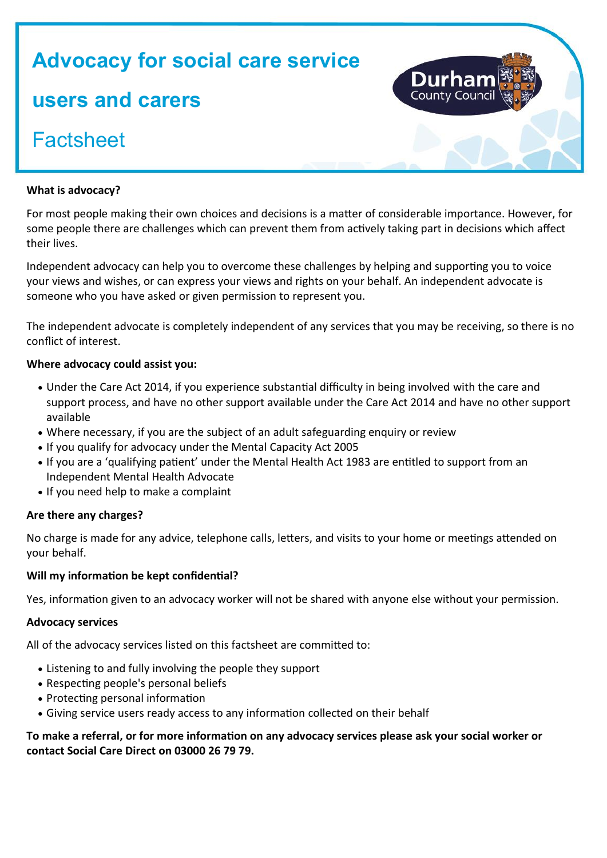# **Advocacy for social care service users and carers Factsheet**

# **What is advocacy?**

For most people making their own choices and decisions is a matter of considerable importance. However, for some people there are challenges which can prevent them from actively taking part in decisions which affect their lives.

Independent advocacy can help you to overcome these challenges by helping and supporting you to voice your views and wishes, or can express your views and rights on your behalf. An independent advocate is someone who you have asked or given permission to represent you.

The independent advocate is completely independent of any services that you may be receiving, so there is no conflict of interest.

## **Where advocacy could assist you:**

- Under the Care Act 2014, if you experience substantial difficulty in being involved with the care and support process, and have no other support available under the Care Act 2014 and have no other support available
- Where necessary, if you are the subject of an adult safeguarding enquiry or review
- If you qualify for advocacy under the Mental Capacity Act 2005
- If you are a 'qualifying patient' under the Mental Health Act 1983 are entitled to support from an Independent Mental Health Advocate
- If you need help to make a complaint

#### **Are there any charges?**

No charge is made for any advice, telephone calls, letters, and visits to your home or meetings attended on your behalf.

#### **Will my information be kept confidential?**

Yes, information given to an advocacy worker will not be shared with anyone else without your permission.

#### **Advocacy services**

All of the advocacy services listed on this factsheet are committed to:

- Listening to and fully involving the people they support
- Respecting people's personal beliefs
- Protecting personal information
- Giving service users ready access to any information collected on their behalf

## **To make a referral, or for more information on any advocacy services please ask your social worker or contact Social Care Direct on 03000 26 79 79.**